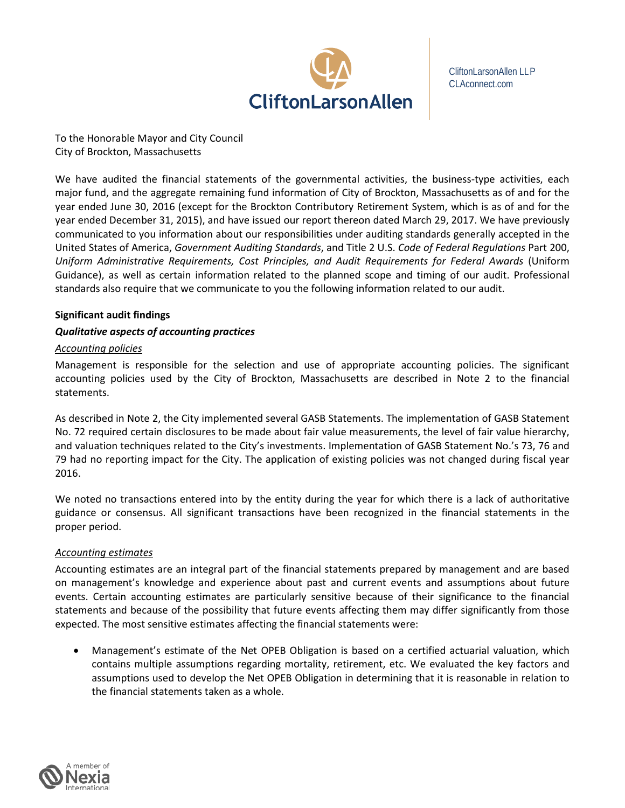

CliftonLarsonAllen LLP CLAconnect.com

To the Honorable Mayor and City Council City of Brockton, Massachusetts

We have audited the financial statements of the governmental activities, the business-type activities, each major fund, and the aggregate remaining fund information of City of Brockton, Massachusetts as of and for the year ended June 30, 2016 (except for the Brockton Contributory Retirement System, which is as of and for the year ended December 31, 2015), and have issued our report thereon dated March 29, 2017. We have previously communicated to you information about our responsibilities under auditing standards generally accepted in the United States of America, *Government Auditing Standards*, and Title 2 U.S. *Code of Federal Regulations* Part 200, *Uniform Administrative Requirements, Cost Principles, and Audit Requirements for Federal Awards* (Uniform Guidance), as well as certain information related to the planned scope and timing of our audit. Professional standards also require that we communicate to you the following information related to our audit.

# **Significant audit findings**

# *Qualitative aspects of accounting practices*

### *Accounting policies*

Management is responsible for the selection and use of appropriate accounting policies. The significant accounting policies used by the City of Brockton, Massachusetts are described in Note 2 to the financial statements.

As described in Note 2, the City implemented several GASB Statements. The implementation of GASB Statement No. 72 required certain disclosures to be made about fair value measurements, the level of fair value hierarchy, and valuation techniques related to the City's investments. Implementation of GASB Statement No.'s 73, 76 and 79 had no reporting impact for the City. The application of existing policies was not changed during fiscal year 2016.

We noted no transactions entered into by the entity during the year for which there is a lack of authoritative guidance or consensus. All significant transactions have been recognized in the financial statements in the proper period.

# *Accounting estimates*

Accounting estimates are an integral part of the financial statements prepared by management and are based on management's knowledge and experience about past and current events and assumptions about future events. Certain accounting estimates are particularly sensitive because of their significance to the financial statements and because of the possibility that future events affecting them may differ significantly from those expected. The most sensitive estimates affecting the financial statements were:

• Management's estimate of the Net OPEB Obligation is based on a certified actuarial valuation, which contains multiple assumptions regarding mortality, retirement, etc. We evaluated the key factors and assumptions used to develop the Net OPEB Obligation in determining that it is reasonable in relation to the financial statements taken as a whole.

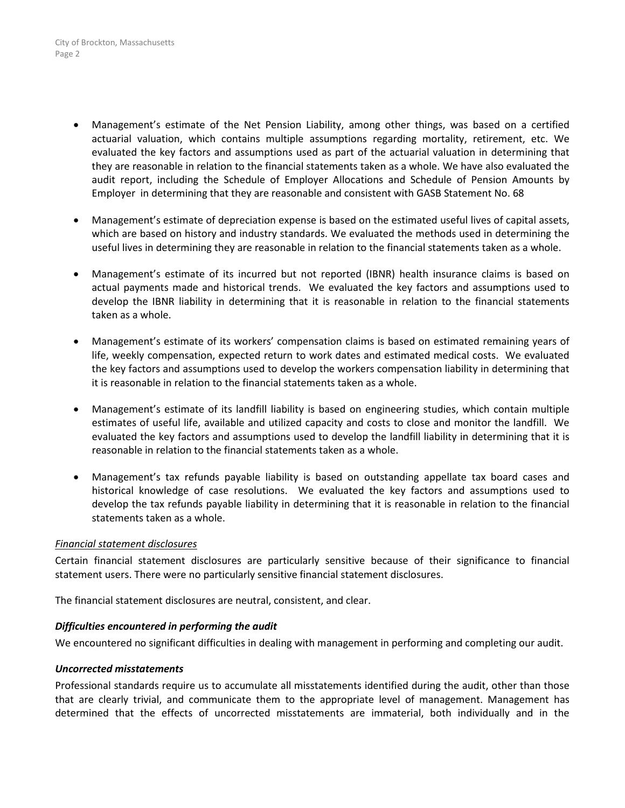- Management's estimate of the Net Pension Liability, among other things, was based on a certified actuarial valuation, which contains multiple assumptions regarding mortality, retirement, etc. We evaluated the key factors and assumptions used as part of the actuarial valuation in determining that they are reasonable in relation to the financial statements taken as a whole. We have also evaluated the audit report, including the Schedule of Employer Allocations and Schedule of Pension Amounts by Employer in determining that they are reasonable and consistent with GASB Statement No. 68
- Management's estimate of depreciation expense is based on the estimated useful lives of capital assets, which are based on history and industry standards. We evaluated the methods used in determining the useful lives in determining they are reasonable in relation to the financial statements taken as a whole.
- Management's estimate of its incurred but not reported (IBNR) health insurance claims is based on actual payments made and historical trends. We evaluated the key factors and assumptions used to develop the IBNR liability in determining that it is reasonable in relation to the financial statements taken as a whole.
- Management's estimate of its workers' compensation claims is based on estimated remaining years of life, weekly compensation, expected return to work dates and estimated medical costs. We evaluated the key factors and assumptions used to develop the workers compensation liability in determining that it is reasonable in relation to the financial statements taken as a whole.
- Management's estimate of its landfill liability is based on engineering studies, which contain multiple estimates of useful life, available and utilized capacity and costs to close and monitor the landfill. We evaluated the key factors and assumptions used to develop the landfill liability in determining that it is reasonable in relation to the financial statements taken as a whole.
- Management's tax refunds payable liability is based on outstanding appellate tax board cases and historical knowledge of case resolutions. We evaluated the key factors and assumptions used to develop the tax refunds payable liability in determining that it is reasonable in relation to the financial statements taken as a whole.

### *Financial statement disclosures*

Certain financial statement disclosures are particularly sensitive because of their significance to financial statement users. There were no particularly sensitive financial statement disclosures.

The financial statement disclosures are neutral, consistent, and clear.

### *Difficulties encountered in performing the audit*

We encountered no significant difficulties in dealing with management in performing and completing our audit.

### *Uncorrected misstatements*

Professional standards require us to accumulate all misstatements identified during the audit, other than those that are clearly trivial, and communicate them to the appropriate level of management. Management has determined that the effects of uncorrected misstatements are immaterial, both individually and in the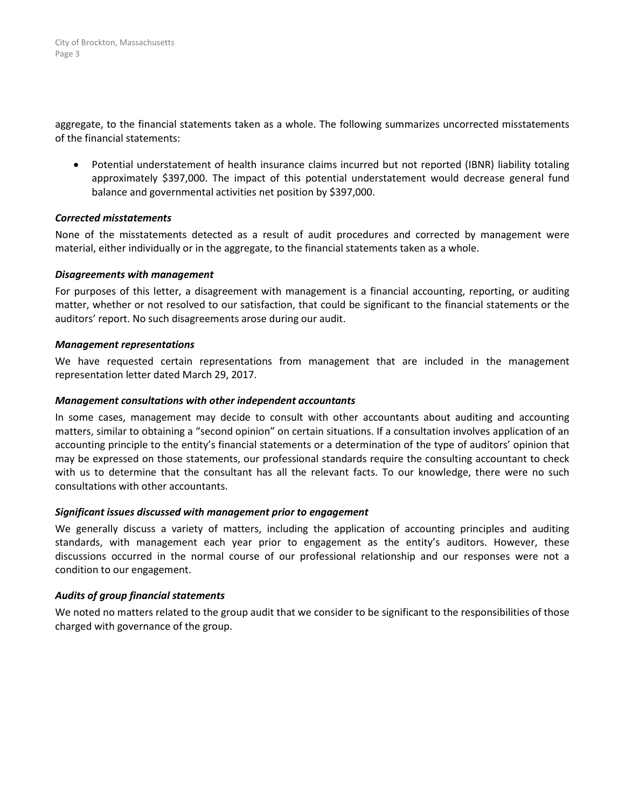aggregate, to the financial statements taken as a whole. The following summarizes uncorrected misstatements of the financial statements:

• Potential understatement of health insurance claims incurred but not reported (IBNR) liability totaling approximately \$397,000. The impact of this potential understatement would decrease general fund balance and governmental activities net position by \$397,000.

### *Corrected misstatements*

None of the misstatements detected as a result of audit procedures and corrected by management were material, either individually or in the aggregate, to the financial statements taken as a whole.

### *Disagreements with management*

For purposes of this letter, a disagreement with management is a financial accounting, reporting, or auditing matter, whether or not resolved to our satisfaction, that could be significant to the financial statements or the auditors' report. No such disagreements arose during our audit.

# *Management representations*

We have requested certain representations from management that are included in the management representation letter dated March 29, 2017.

## *Management consultations with other independent accountants*

In some cases, management may decide to consult with other accountants about auditing and accounting matters, similar to obtaining a "second opinion" on certain situations. If a consultation involves application of an accounting principle to the entity's financial statements or a determination of the type of auditors' opinion that may be expressed on those statements, our professional standards require the consulting accountant to check with us to determine that the consultant has all the relevant facts. To our knowledge, there were no such consultations with other accountants.

### *Significant issues discussed with management prior to engagement*

We generally discuss a variety of matters, including the application of accounting principles and auditing standards, with management each year prior to engagement as the entity's auditors. However, these discussions occurred in the normal course of our professional relationship and our responses were not a condition to our engagement.

# *Audits of group financial statements*

We noted no matters related to the group audit that we consider to be significant to the responsibilities of those charged with governance of the group.